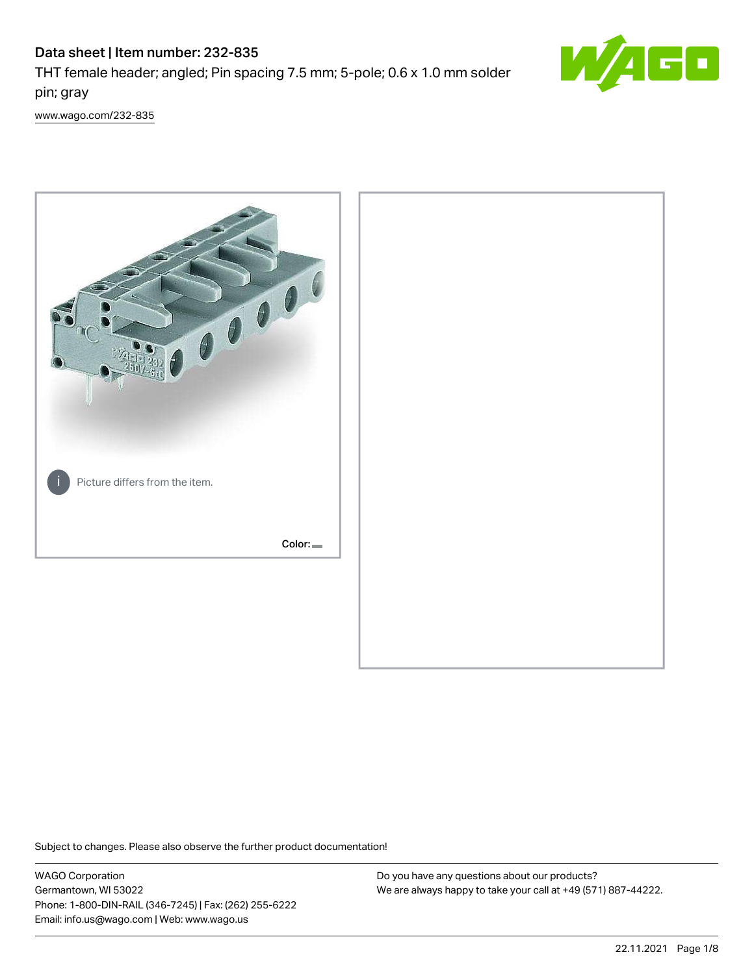# Data sheet | Item number: 232-835

THT female header; angled; Pin spacing 7.5 mm; 5-pole; 0.6 x 1.0 mm solder pin; gray



[www.wago.com/232-835](http://www.wago.com/232-835)



Subject to changes. Please also observe the further product documentation!

WAGO Corporation Germantown, WI 53022 Phone: 1-800-DIN-RAIL (346-7245) | Fax: (262) 255-6222 Email: info.us@wago.com | Web: www.wago.us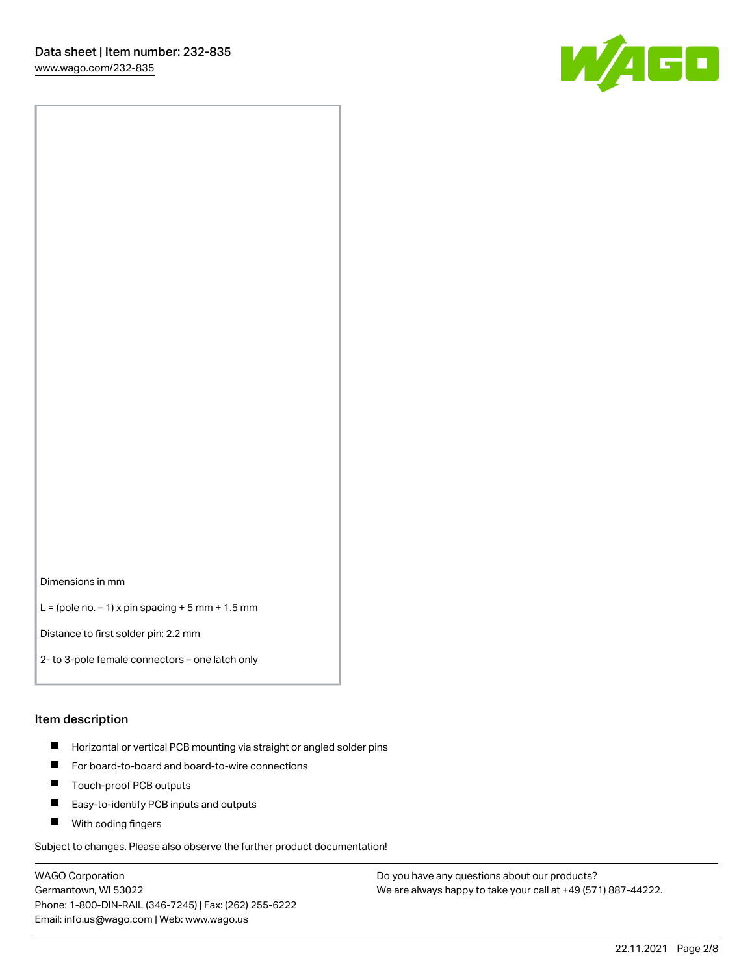

Dimensions in mm

 $L =$  (pole no.  $-1$ ) x pin spacing  $+5$  mm  $+ 1.5$  mm

Distance to first solder pin: 2.2 mm

2- to 3-pole female connectors – one latch only

#### Item description

- **Horizontal or vertical PCB mounting via straight or angled solder pins**
- For board-to-board and board-to-wire connections
- $\blacksquare$ Touch-proof PCB outputs
- $\blacksquare$ Easy-to-identify PCB inputs and outputs
- **Now With coding fingers**

Subject to changes. Please also observe the further product documentation!

WAGO Corporation Germantown, WI 53022 Phone: 1-800-DIN-RAIL (346-7245) | Fax: (262) 255-6222 Email: info.us@wago.com | Web: www.wago.us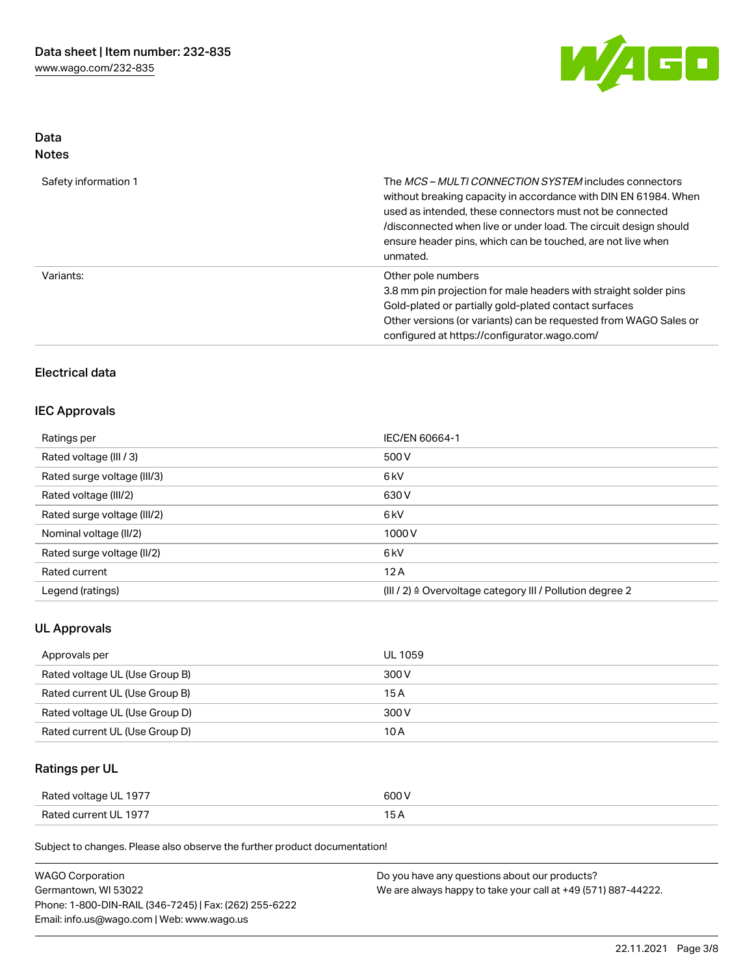

## Data Notes

| Safety information 1 | The MCS-MULTI CONNECTION SYSTEM includes connectors<br>without breaking capacity in accordance with DIN EN 61984. When<br>used as intended, these connectors must not be connected<br>/disconnected when live or under load. The circuit design should<br>ensure header pins, which can be touched, are not live when<br>unmated. |
|----------------------|-----------------------------------------------------------------------------------------------------------------------------------------------------------------------------------------------------------------------------------------------------------------------------------------------------------------------------------|
| Variants:            | Other pole numbers<br>3.8 mm pin projection for male headers with straight solder pins<br>Gold-plated or partially gold-plated contact surfaces<br>Other versions (or variants) can be requested from WAGO Sales or<br>configured at https://configurator.wago.com/                                                               |

## Electrical data

#### IEC Approvals

| Ratings per                 | IEC/EN 60664-1                                                       |
|-----------------------------|----------------------------------------------------------------------|
| Rated voltage (III / 3)     | 500 V                                                                |
| Rated surge voltage (III/3) | 6 <sub>k</sub> V                                                     |
| Rated voltage (III/2)       | 630 V                                                                |
| Rated surge voltage (III/2) | 6 <sub>k</sub> V                                                     |
| Nominal voltage (II/2)      | 1000V                                                                |
| Rated surge voltage (II/2)  | 6 <sub>k</sub> V                                                     |
| Rated current               | 12A                                                                  |
| Legend (ratings)            | (III / 2) $\triangleq$ Overvoltage category III / Pollution degree 2 |

## UL Approvals

| Approvals per                  | <b>UL 1059</b> |
|--------------------------------|----------------|
| Rated voltage UL (Use Group B) | 300 V          |
| Rated current UL (Use Group B) | 15 A           |
| Rated voltage UL (Use Group D) | 300 V          |
| Rated current UL (Use Group D) | 10 A           |

# Ratings per UL

| Rated voltage UL 1977 | 600 V |
|-----------------------|-------|
| Rated current UL 1977 |       |

Subject to changes. Please also observe the further product documentation!

| <b>WAGO Corporation</b>                                | Do you have any questions about our products?                 |
|--------------------------------------------------------|---------------------------------------------------------------|
| Germantown, WI 53022                                   | We are always happy to take your call at +49 (571) 887-44222. |
| Phone: 1-800-DIN-RAIL (346-7245)   Fax: (262) 255-6222 |                                                               |
| Email: info.us@wago.com   Web: www.wago.us             |                                                               |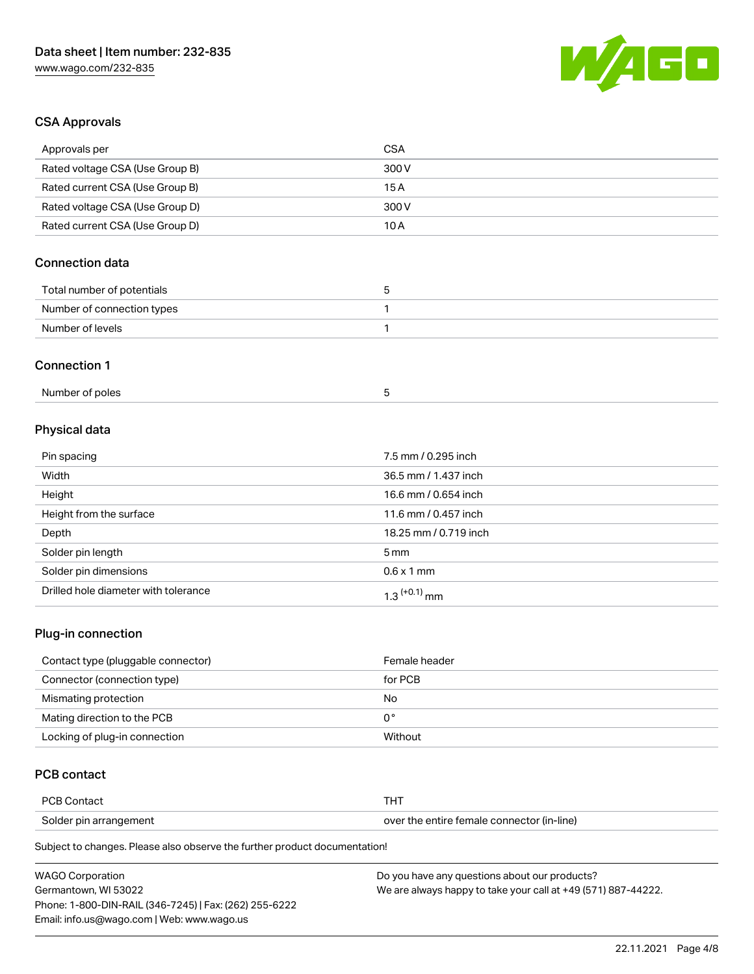

## CSA Approvals

| Approvals per                   | <b>CSA</b>            |  |
|---------------------------------|-----------------------|--|
| Rated voltage CSA (Use Group B) | 300V                  |  |
| Rated current CSA (Use Group B) | 15A                   |  |
| Rated voltage CSA (Use Group D) | 300V                  |  |
| Rated current CSA (Use Group D) | 10A                   |  |
| <b>Connection data</b>          |                       |  |
| Total number of potentials      | 5                     |  |
| Number of connection types      | 1                     |  |
| Number of levels                | 1                     |  |
| <b>Connection 1</b>             |                       |  |
| Number of poles                 | 5                     |  |
| Physical data                   |                       |  |
| Pin spacing                     | 7.5 mm / 0.295 inch   |  |
| Width                           | 36.5 mm / 1.437 inch  |  |
| Height                          | 16.6 mm / 0.654 inch  |  |
| Height from the surface         | 11.6 mm / 0.457 inch  |  |
| Depth                           | 18.25 mm / 0.719 inch |  |
| Solder pin length               | 5 <sub>mm</sub>       |  |
| Solder pin dimensions           | $0.6 \times 1$ mm     |  |

#### Plug-in connection

| Contact type (pluggable connector) | Female header |
|------------------------------------|---------------|
| Connector (connection type)        | for PCB       |
| Mismating protection               | No            |
| Mating direction to the PCB        | 0°            |
| Locking of plug-in connection      | Without       |

## PCB contact

| <b>PCB Contact</b>     | п.                                         |
|------------------------|--------------------------------------------|
| Solder pin arrangement | over the entire female connector (in-line) |

Subject to changes. Please also observe the further product documentation!

Drilled hole diameter with tolerance  $1.3$   $(+0.1)$  mm

| <b>WAGO Corporation</b>                                | Do you have any questions about our products?                 |
|--------------------------------------------------------|---------------------------------------------------------------|
| Germantown. WI 53022                                   | We are always happy to take your call at +49 (571) 887-44222. |
| Phone: 1-800-DIN-RAIL (346-7245)   Fax: (262) 255-6222 |                                                               |
| Email: info.us@wago.com   Web: www.wago.us             |                                                               |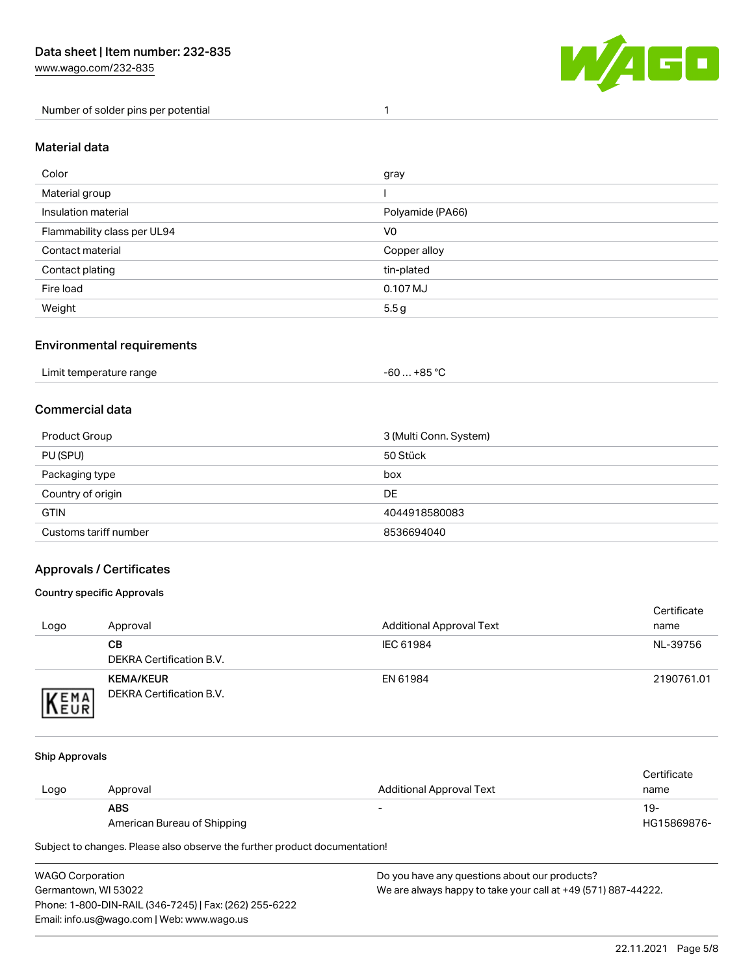[www.wago.com/232-835](http://www.wago.com/232-835)

Number of solder pins per potential 1



#### Material data

| Color                       | gray             |
|-----------------------------|------------------|
| Material group              |                  |
| Insulation material         | Polyamide (PA66) |
| Flammability class per UL94 | V <sub>0</sub>   |
| Contact material            | Copper alloy     |
| Contact plating             | tin-plated       |
| Fire load                   | 0.107 MJ         |
| Weight                      | 5.5g             |

#### Environmental requirements

## Commercial data

| Product Group         | 3 (Multi Conn. System) |
|-----------------------|------------------------|
| PU (SPU)              | 50 Stück               |
| Packaging type        | box                    |
| Country of origin     | <b>DE</b>              |
| <b>GTIN</b>           | 4044918580083          |
| Customs tariff number | 8536694040             |

### Approvals / Certificates

#### Country specific Approvals

| Logo                | Approval                                            | <b>Additional Approval Text</b> | Certificate<br>name |
|---------------------|-----------------------------------------------------|---------------------------------|---------------------|
|                     | CВ<br>DEKRA Certification B.V.                      | IEC 61984                       | NL-39756            |
| EMA<br><b>INEUR</b> | <b>KEMA/KEUR</b><br><b>DEKRA Certification B.V.</b> | EN 61984                        | 2190761.01          |

#### Ship Approvals

|      |                             |                                 | Certificate |
|------|-----------------------------|---------------------------------|-------------|
| Logo | Approval                    | <b>Additional Approval Text</b> | name        |
|      | <b>ABS</b>                  | $\overline{\phantom{a}}$        | 19-         |
|      | American Bureau of Shipping |                                 | HG15869876- |

Subject to changes. Please also observe the further product documentation!

| WAGO Corporation                                       | Do you have any questions about our products?                 |
|--------------------------------------------------------|---------------------------------------------------------------|
| Germantown, WI 53022                                   | We are always happy to take your call at +49 (571) 887-44222. |
| Phone: 1-800-DIN-RAIL (346-7245)   Fax: (262) 255-6222 |                                                               |
| Email: info.us@wago.com   Web: www.wago.us             |                                                               |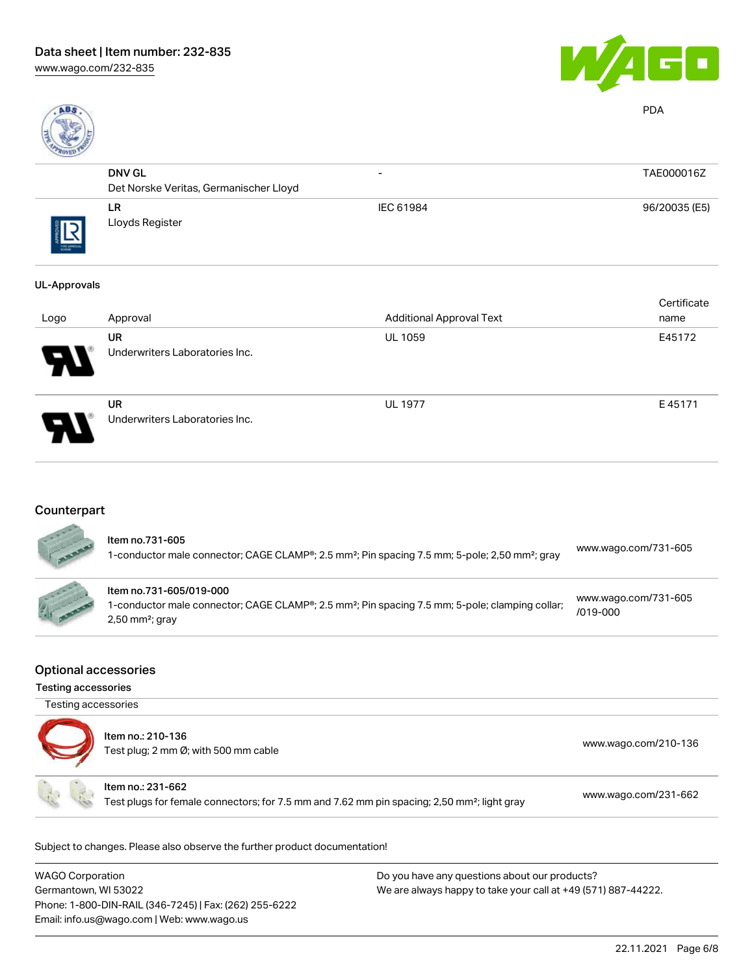



PDA

| R0150     |                                        |                          |               |
|-----------|----------------------------------------|--------------------------|---------------|
|           | <b>DNV GL</b>                          | $\overline{\phantom{0}}$ | TAE000016Z    |
|           | Det Norske Veritas, Germanischer Lloyd |                          |               |
| THE ARROW | LR<br>Lloyds Register                  | IEC 61984                | 96/20035 (E5) |

#### UL-Approvals

| Logo                       | Approval                                    | <b>Additional Approval Text</b> | Certificate<br>name |
|----------------------------|---------------------------------------------|---------------------------------|---------------------|
| $\boldsymbol{\mathcal{P}}$ | <b>UR</b><br>Underwriters Laboratories Inc. | <b>UL 1059</b>                  | E45172              |
| 8                          | <b>UR</b><br>Underwriters Laboratories Inc. | <b>UL 1977</b>                  | E45171              |

# **Counterpart**

| ltem no.731-605<br>1-conductor male connector; CAGE CLAMP®; 2.5 mm <sup>2</sup> ; Pin spacing 7.5 mm; 5-pole; 2,50 mm <sup>2</sup> ; gray                               | www.wago.com/731-605                 |
|-------------------------------------------------------------------------------------------------------------------------------------------------------------------------|--------------------------------------|
| Item no.731-605/019-000<br>1-conductor male connector; CAGE CLAMP®; 2.5 mm <sup>2</sup> ; Pin spacing 7.5 mm; 5-pole; clamping collar;<br>$2,50$ mm <sup>2</sup> ; gray | www.wago.com/731-605<br>$/019 - 000$ |

### Optional accessories

Testing accessories

| Testing accessories |                                                                                                                              |                      |
|---------------------|------------------------------------------------------------------------------------------------------------------------------|----------------------|
|                     | Item no.: 210-136<br>Test plug; 2 mm Ø; with 500 mm cable                                                                    | www.wago.com/210-136 |
|                     | Item no.: 231-662<br>Test plugs for female connectors; for 7.5 mm and 7.62 mm pin spacing; 2,50 mm <sup>2</sup> ; light gray | www.wago.com/231-662 |

Subject to changes. Please also observe the further product documentation!

| <b>WAGO Corporation</b>                                | Do you have any questions about our products?                 |
|--------------------------------------------------------|---------------------------------------------------------------|
| Germantown, WI 53022                                   | We are always happy to take your call at +49 (571) 887-44222. |
| Phone: 1-800-DIN-RAIL (346-7245)   Fax: (262) 255-6222 |                                                               |
| Email: info.us@wago.com   Web: www.wago.us             |                                                               |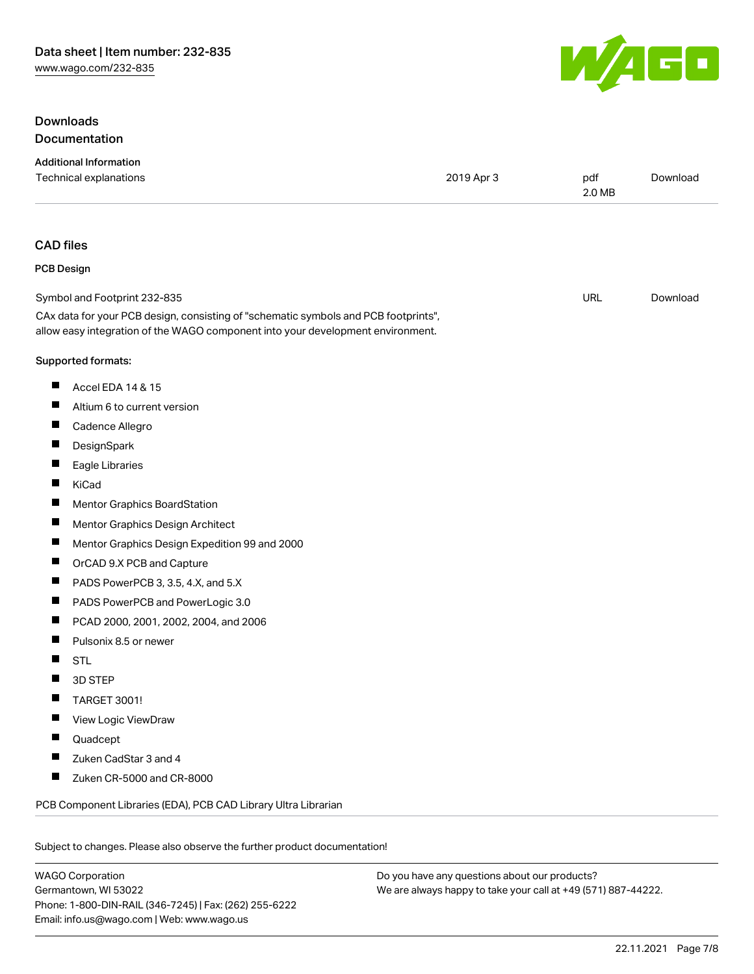## Downloads Documentation

| <b>Additional Information</b><br>Technical explanations                                                                                                                | 2019 Apr 3 | pdf<br>2.0 MB | Download |
|------------------------------------------------------------------------------------------------------------------------------------------------------------------------|------------|---------------|----------|
| <b>CAD files</b>                                                                                                                                                       |            |               |          |
| <b>PCB Design</b>                                                                                                                                                      |            |               |          |
| Symbol and Footprint 232-835                                                                                                                                           |            | <b>URL</b>    | Download |
| CAx data for your PCB design, consisting of "schematic symbols and PCB footprints",<br>allow easy integration of the WAGO component into your development environment. |            |               |          |
| Supported formats:                                                                                                                                                     |            |               |          |
| ш<br>Accel EDA 14 & 15                                                                                                                                                 |            |               |          |
| Altium 6 to current version                                                                                                                                            |            |               |          |
| ш<br>Cadence Allegro                                                                                                                                                   |            |               |          |
| ш<br>DesignSpark                                                                                                                                                       |            |               |          |
| Eagle Libraries                                                                                                                                                        |            |               |          |
| ш<br>KiCad                                                                                                                                                             |            |               |          |
| Mentor Graphics BoardStation<br>ш                                                                                                                                      |            |               |          |
| H<br>Mentor Graphics Design Architect                                                                                                                                  |            |               |          |
| ш<br>Mentor Graphics Design Expedition 99 and 2000                                                                                                                     |            |               |          |
| ш<br>OrCAD 9.X PCB and Capture                                                                                                                                         |            |               |          |
| H<br>PADS PowerPCB 3, 3.5, 4.X, and 5.X                                                                                                                                |            |               |          |
| ш<br>PADS PowerPCB and PowerLogic 3.0                                                                                                                                  |            |               |          |
| ш<br>PCAD 2000, 2001, 2002, 2004, and 2006                                                                                                                             |            |               |          |
| Pulsonix 8.5 or newer                                                                                                                                                  |            |               |          |
| <b>STL</b>                                                                                                                                                             |            |               |          |
| 3D STEP                                                                                                                                                                |            |               |          |
| TARGET 3001!                                                                                                                                                           |            |               |          |
| View Logic ViewDraw                                                                                                                                                    |            |               |          |
| Quadcept                                                                                                                                                               |            |               |          |
| Zuken CadStar 3 and 4                                                                                                                                                  |            |               |          |
| Zuken CR-5000 and CR-8000<br>ш                                                                                                                                         |            |               |          |
| PCB Component Libraries (EDA), PCB CAD Library Ultra Librarian                                                                                                         |            |               |          |
| Subject to changes. Please also observe the further product documentation!                                                                                             |            |               |          |

WAGO Corporation Germantown, WI 53022 Phone: 1-800-DIN-RAIL (346-7245) | Fax: (262) 255-6222 Email: info.us@wago.com | Web: www.wago.us